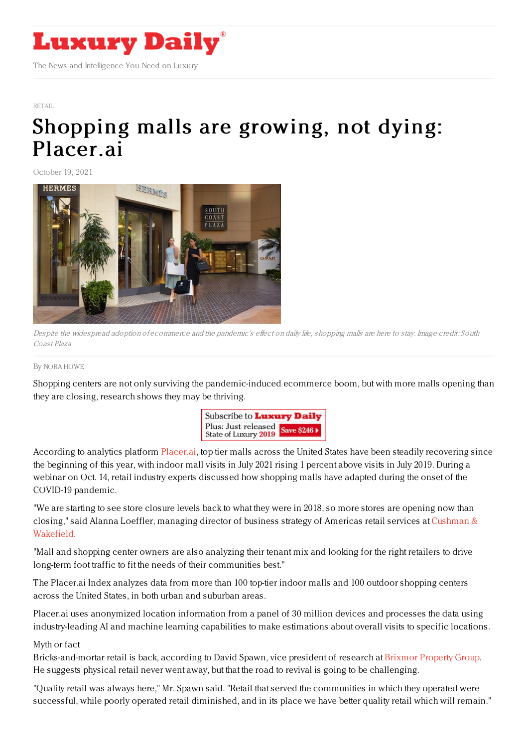

## [RETAIL](https://www.luxurydaily.com/category/sectors/retail-industry-sectors/)

## [Shopping](https://www.luxurydaily.com/shopping-malls-are-growing-placerai/) malls are growing, not dying: Placer.ai

October 19, 2021



Despite the widespread adoption of ecommerce and the pandemic's effect on daily life, shopping malls are here to stay. Image credit: South Coast Plaza

## By NORA [HOWE](file:///author/nora-howe)

Shopping centers are not only surviving the pandemic-induced ecommerce boom, but with more malls opening than they are closing, research shows they may be thriving.



According to analytics platform [Placer.ai](https://www.placer.ai/), top tier malls across the United States have been steadily recovering since the beginning of this year, with indoor mall visits in July 2021 rising 1 percent above visits in July 2019. During a webinar on Oct. 14, retail industry experts discussed how shopping malls have adapted during the onset of the COVID-19 pandemic.

"We are starting to see store closure levels back to what they were in 2018, so more stores are opening now than closing," said Alanna Loeffler, managing director of business strategy of Americas retail services at Cushman & [Wakefield.](https://www.cushmanwakefield.com/en/united-states)

"Mall and shopping center owners are also analyzing their tenant mix and looking for the right retailers to drive long-term foot traffic to fit the needs of their communities best."

The Placer.ai Index analyzes data from more than 100 top-tier indoor malls and 100 outdoor shopping centers across the United States, in both urban and suburban areas.

Placer.ai uses anonymized location information from a panel of 30 million devices and processes the data using industry-leading AI and machine learning capabilities to make estimations about overall visits to specific locations.

## Myth or fact

Bricks-and-mortar retail is back, according to David Spawn, vice president of research at Brixmor [Property](https://www.brixmor.com/) Group. He suggests physical retail never went away, but that the road to revival is going to be challenging.

"Quality retail was always here," Mr. Spawn said. "Retail that served the communities in which they operated were successful, while poorly operated retail diminished, and in its place we have better quality retail which will remain."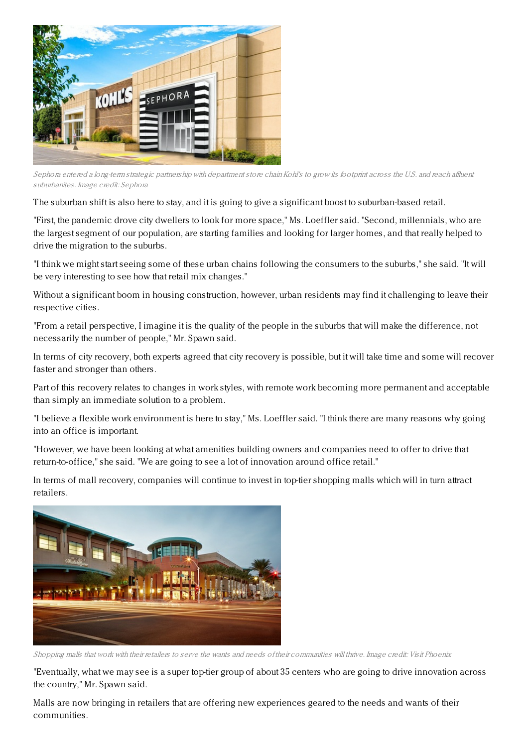

Sephora entered a long-term strategic partnership with department store chain Kohl's to grow its footprint across the U.S. and reach affluent suburbanites. Image credit: Sephora

The suburban shift is also here to stay, and it is going to give a significant boost to suburban-based retail.

"First, the pandemic drove city dwellers to look for more space," Ms. Loeffler said. "Second, millennials, who are the largest segment of our population, are starting families and looking for larger homes, and that really helped to drive the migration to the suburbs.

"I think we might start seeing some of these urban chains following the consumers to the suburbs," she said. "It will be very interesting to see how that retail mix changes."

Without a significant boom in housing construction, however, urban residents may find it challenging to leave their respective cities.

"From a retail perspective, I imagine it is the quality of the people in the suburbs that will make the difference, not necessarily the number of people," Mr. Spawn said.

In terms of city recovery, both experts agreed that city recovery is possible, but it will take time and some will recover faster and stronger than others.

Part of this recovery relates to changes in work styles, with remote work becoming more permanent and acceptable than simply an immediate solution to a problem.

"I believe a flexible work environment is here to stay," Ms. Loeffler said. "I think there are many reasons why going into an office is important.

"However, we have been looking at what amenities building owners and companies need to offer to drive that return-to-office," she said. "We are going to see a lot of innovation around office retail."

In terms of mall recovery, companies will continue to invest in top-tier shopping malls which will in turn attract retailers.



Shopping malls that work with their retailers to serve the wants and needs of their communities will thrive. Image credit: Visit Phoenix

"Eventually, what we may see is a super top-tier group of about 35 centers who are going to drive innovation across the country," Mr. Spawn said.

Malls are now bringing in retailers that are offering new experiences geared to the needs and wants of their communities.